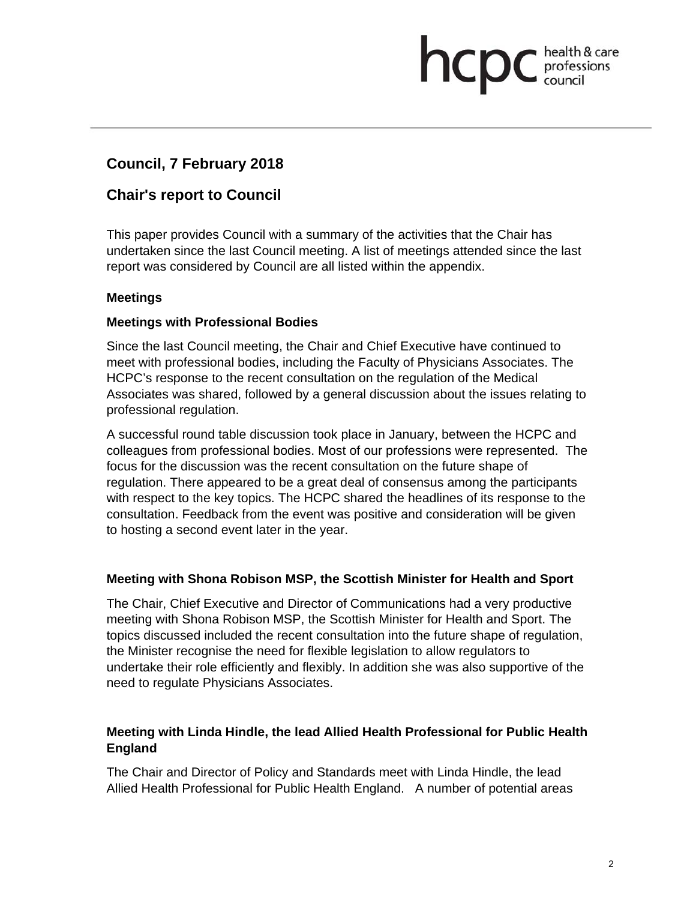# hcpc professions<br>council

## **Council, 7 February 2018**

## **Chair's report to Council**

This paper provides Council with a summary of the activities that the Chair has undertaken since the last Council meeting. A list of meetings attended since the last report was considered by Council are all listed within the appendix.

## **Meetings**

#### **Meetings with Professional Bodies**

Since the last Council meeting, the Chair and Chief Executive have continued to meet with professional bodies, including the Faculty of Physicians Associates. The HCPC's response to the recent consultation on the regulation of the Medical Associates was shared, followed by a general discussion about the issues relating to professional regulation.

A successful round table discussion took place in January, between the HCPC and colleagues from professional bodies. Most of our professions were represented. The focus for the discussion was the recent consultation on the future shape of regulation. There appeared to be a great deal of consensus among the participants with respect to the key topics. The HCPC shared the headlines of its response to the consultation. Feedback from the event was positive and consideration will be given to hosting a second event later in the year.

#### **Meeting with Shona Robison MSP, the Scottish Minister for Health and Sport**

The Chair, Chief Executive and Director of Communications had a very productive meeting with Shona Robison MSP, the Scottish Minister for Health and Sport. The topics discussed included the recent consultation into the future shape of regulation, the Minister recognise the need for flexible legislation to allow regulators to undertake their role efficiently and flexibly. In addition she was also supportive of the need to regulate Physicians Associates.

#### **Meeting with Linda Hindle, the lead Allied Health Professional for Public Health England**

The Chair and Director of Policy and Standards meet with Linda Hindle, the lead Allied Health Professional for Public Health England. A number of potential areas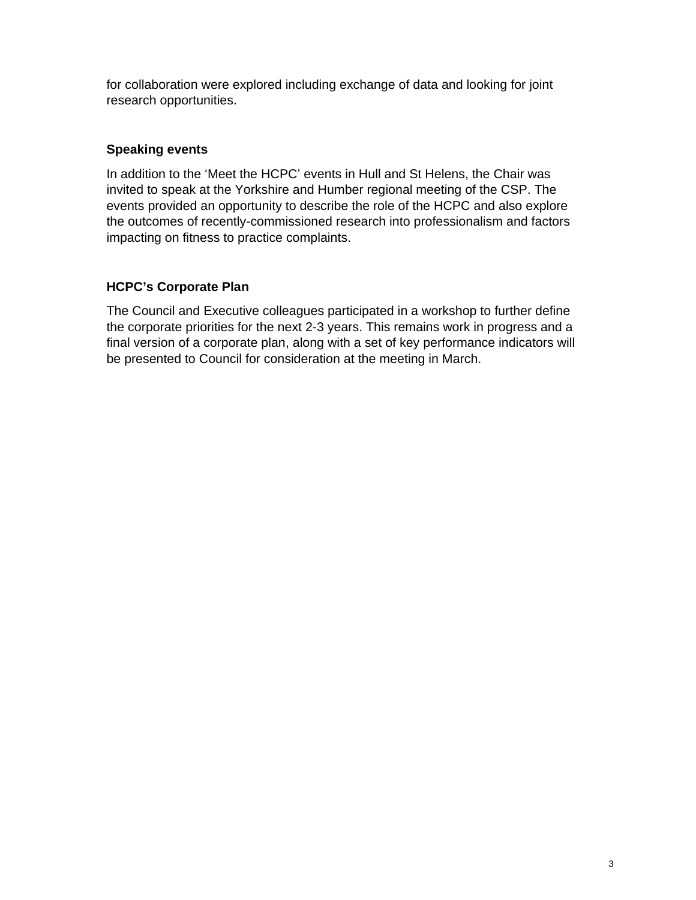for collaboration were explored including exchange of data and looking for joint research opportunities.

#### **Speaking events**

In addition to the 'Meet the HCPC' events in Hull and St Helens, the Chair was invited to speak at the Yorkshire and Humber regional meeting of the CSP. The events provided an opportunity to describe the role of the HCPC and also explore the outcomes of recently-commissioned research into professionalism and factors impacting on fitness to practice complaints.

## **HCPC's Corporate Plan**

The Council and Executive colleagues participated in a workshop to further define the corporate priorities for the next 2-3 years. This remains work in progress and a final version of a corporate plan, along with a set of key performance indicators will be presented to Council for consideration at the meeting in March.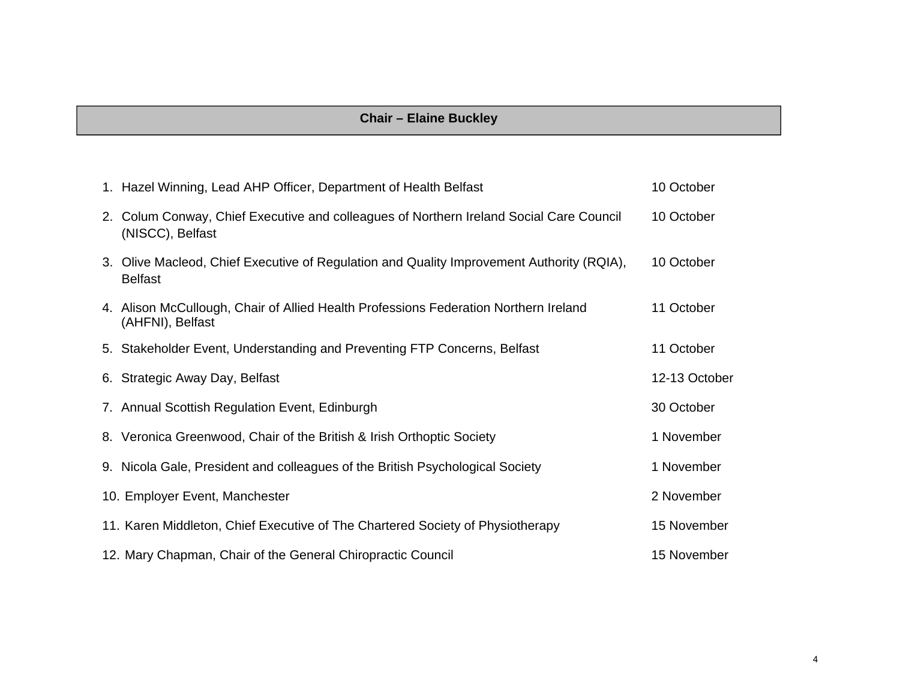# **Chair – Elaine Buckley**

| 1. Hazel Winning, Lead AHP Officer, Department of Health Belfast                                            | 10 October    |
|-------------------------------------------------------------------------------------------------------------|---------------|
| 2. Colum Conway, Chief Executive and colleagues of Northern Ireland Social Care Council<br>(NISCC), Belfast | 10 October    |
| 3. Olive Macleod, Chief Executive of Regulation and Quality Improvement Authority (RQIA),<br><b>Belfast</b> | 10 October    |
| 4. Alison McCullough, Chair of Allied Health Professions Federation Northern Ireland<br>(AHFNI), Belfast    | 11 October    |
| 5. Stakeholder Event, Understanding and Preventing FTP Concerns, Belfast                                    | 11 October    |
| 6. Strategic Away Day, Belfast                                                                              | 12-13 October |
| 7. Annual Scottish Regulation Event, Edinburgh                                                              | 30 October    |
| 8. Veronica Greenwood, Chair of the British & Irish Orthoptic Society                                       | 1 November    |
| 9. Nicola Gale, President and colleagues of the British Psychological Society                               | 1 November    |
| 10. Employer Event, Manchester                                                                              | 2 November    |
| 11. Karen Middleton, Chief Executive of The Chartered Society of Physiotherapy                              | 15 November   |
| 12. Mary Chapman, Chair of the General Chiropractic Council                                                 | 15 November   |